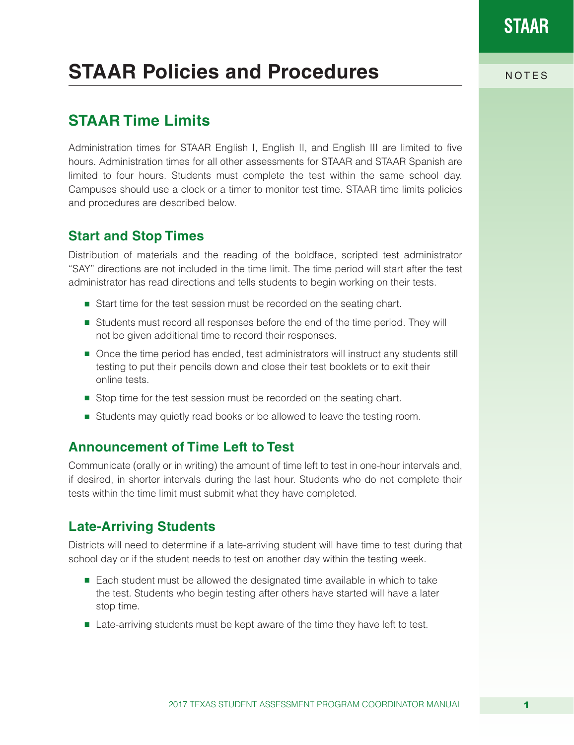# **STAAR Policies and Procedures** NOTES

### **STAAR Time Limits**

Administration times for STAAR English I, English II, and English III are limited to five hours. Administration times for all other assessments for STAAR and STAAR Spanish are limited to four hours. Students must complete the test within the same school day. Campuses should use a clock or a timer to monitor test time. STAAR time limits policies and procedures are described below.

### **Start and Stop Times**

Distribution of materials and the reading of the boldface, scripted test administrator "SAY" directions are not included in the time limit. The time period will start after the test administrator has read directions and tells students to begin working on their tests.

- Start time for the test session must be recorded on the seating chart.
- Students must record all responses before the end of the time period. They will not be given additional time to record their responses.
- Once the time period has ended, test administrators will instruct any students still testing to put their pencils down and close their test booklets or to exit their online tests.
- Stop time for the test session must be recorded on the seating chart.
- Students may quietly read books or be allowed to leave the testing room.

### **Announcement of Time Left to Test**

Communicate (orally or in writing) the amount of time left to test in one-hour intervals and, if desired, in shorter intervals during the last hour. Students who do not complete their tests within the time limit must submit what they have completed.

### **Late-Arriving Students**

Districts will need to determine if a late-arriving student will have time to test during that school day or if the student needs to test on another day within the testing week.

- Each student must be allowed the designated time available in which to take the test. Students who begin testing after others have started will have a later stop time.
- Late-arriving students must be kept aware of the time they have left to test.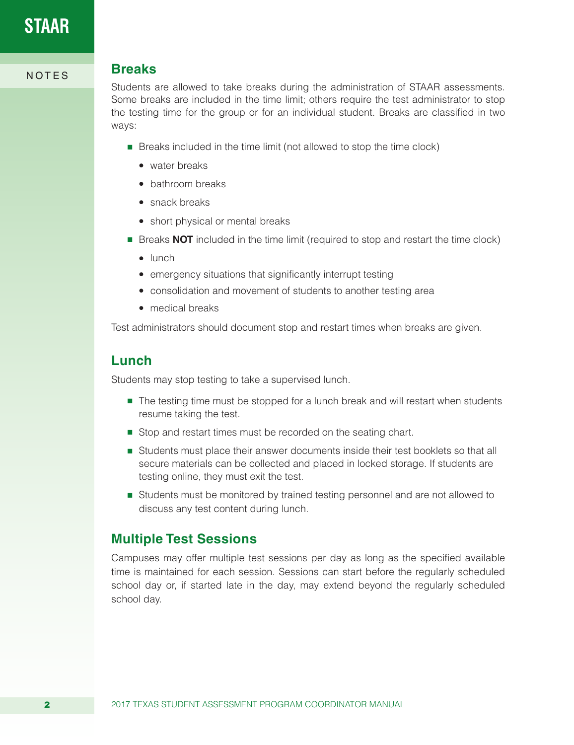### NOTES **Breaks**

Students are allowed to take breaks during the administration of STAAR assessments. Some breaks are included in the time limit; others require the test administrator to stop the testing time for the group or for an individual student. Breaks are classified in two ways:

- Breaks included in the time limit (not allowed to stop the time clock)
	- $\bullet$  water breaks
	- bathroom breaks
	- $\bullet$  snack breaks
	- short physical or mental breaks
- Breaks **NOT** included in the time limit (required to stop and restart the time clock)
	- $\bullet$  lunch
	- emergency situations that significantly interrupt testing
	- consolidation and movement of students to another testing area
	- medical breaks

Test administrators should document stop and restart times when breaks are given.

### **Lunch**

Students may stop testing to take a supervised lunch.

- The testing time must be stopped for a lunch break and will restart when students resume taking the test.
- Stop and restart times must be recorded on the seating chart.
- Students must place their answer documents inside their test booklets so that all secure materials can be collected and placed in locked storage. If students are testing online, they must exit the test.
- Students must be monitored by trained testing personnel and are not allowed to discuss any test content during lunch.

### **Multiple Test Sessions**

Campuses may offer multiple test sessions per day as long as the specified available time is maintained for each session. Sessions can start before the regularly scheduled school day or, if started late in the day, may extend beyond the regularly scheduled school day.